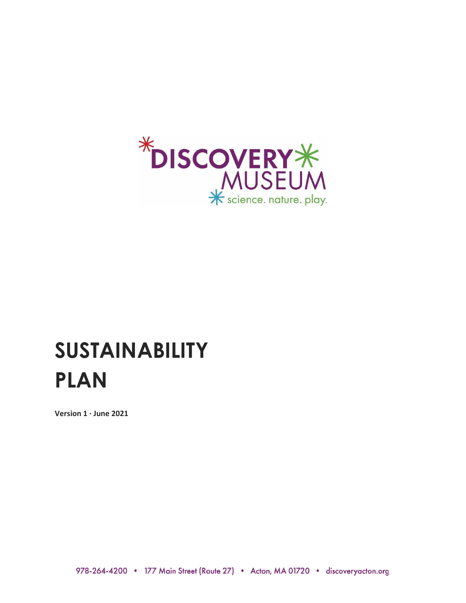

# **SUSTAINABILITY PLAN**

**Version 1 ∙ June 2021**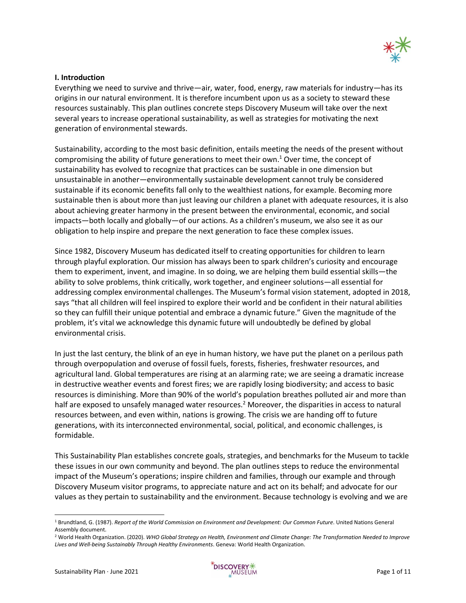

## **I. Introduction**

Everything we need to survive and thrive—air, water, food, energy, raw materials for industry—has its origins in our natural environment. It is therefore incumbent upon us as a society to steward these resources sustainably. This plan outlines concrete steps Discovery Museum will take over the next several years to increase operational sustainability, as well as strategies for motivating the next generation of environmental stewards.

Sustainability, according to the most basic definition, entails meeting the needs of the present without compromising the ability of future generations to meet their own. <sup>1</sup> Over time, the concept of sustainability has evolved to recognize that practices can be sustainable in one dimension but unsustainable in another—environmentally sustainable development cannot truly be considered sustainable if its economic benefits fall only to the wealthiest nations, for example. Becoming more sustainable then is about more than just leaving our children a planet with adequate resources, it is also about achieving greater harmony in the present between the environmental, economic, and social impacts—both locally and globally—of our actions. As a children's museum, we also see it as our obligation to help inspire and prepare the next generation to face these complex issues.

Since 1982, Discovery Museum has dedicated itself to creating opportunities for children to learn through playful exploration. Our mission has always been to spark children's curiosity and encourage them to experiment, invent, and imagine. In so doing, we are helping them build essential skills—the ability to solve problems, think critically, work together, and engineer solutions—all essential for addressing complex environmental challenges. The Museum's formal vision statement, adopted in 2018, says "that all children will feel inspired to explore their world and be confident in their natural abilities so they can fulfill their unique potential and embrace a dynamic future." Given the magnitude of the problem, it's vital we acknowledge this dynamic future will undoubtedly be defined by global environmental crisis.

In just the last century, the blink of an eye in human history, we have put the planet on a perilous path through overpopulation and overuse of fossil fuels, forests, fisheries, freshwater resources, and agricultural land. Global temperatures are rising at an alarming rate; we are seeing a dramatic increase in destructive weather events and forest fires; we are rapidly losing biodiversity; and access to basic resources is diminishing. More than 90% of the world's population breathes polluted air and more than half are exposed to unsafely managed water resources.<sup>2</sup> Moreover, the disparities in access to natural resources between, and even within, nations is growing. The crisis we are handing off to future generations, with its interconnected environmental, social, political, and economic challenges, is formidable.

This Sustainability Plan establishes concrete goals, strategies, and benchmarks for the Museum to tackle these issues in our own community and beyond. The plan outlines steps to reduce the environmental impact of the Museum's operations; inspire children and families, through our example and through Discovery Museum visitor programs, to appreciate nature and act on its behalf; and advocate for our values as they pertain to sustainability and the environment. Because technology is evolving and we are



<sup>1</sup> Brundtland, G. (1987). *Report of the World Commission on Environment and Development: Our Common Future*. United Nations General Assembly document.

<sup>2</sup> World Health Organization. (2020). *WHO Global Strategy on Health, Environment and Climate Change: The Transformation Needed to Improve Lives and Well-being Sustainably Through Healthy Environments*. Geneva: World Health Organization.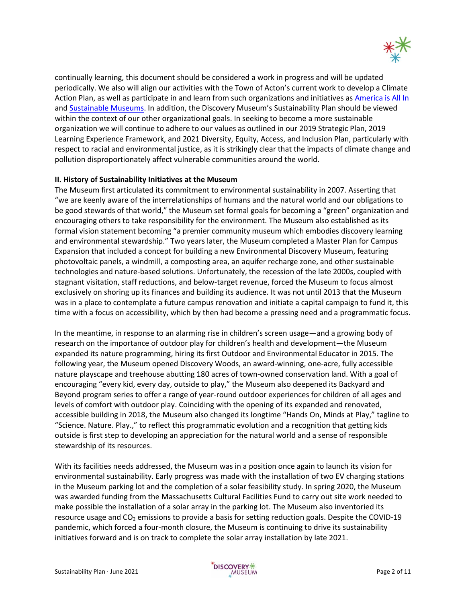

continually learning, this document should be considered a work in progress and will be updated periodically. We also will align our activities with the Town of Acton's current work to develop a Climate Action Plan, as well as participate in and learn from such organizations and initiatives as [America is All In](https://www.americaisallin.com/) and [Sustainable Museums.](https://sustainablemuseums.net/) In addition, the Discovery Museum's Sustainability Plan should be viewed within the context of our other organizational goals. In seeking to become a more sustainable organization we will continue to adhere to our values as outlined in our 2019 Strategic Plan, 2019 Learning Experience Framework, and 2021 Diversity, Equity, Access, and Inclusion Plan, particularly with respect to racial and environmental justice, as it is strikingly clear that the impacts of climate change and pollution disproportionately affect vulnerable communities around the world.

## **II. History of Sustainability Initiatives at the Museum**

The Museum first articulated its commitment to environmental sustainability in 2007. Asserting that "we are keenly aware of the interrelationships of humans and the natural world and our obligations to be good stewards of that world," the Museum set formal goals for becoming a "green" organization and encouraging others to take responsibility for the environment. The Museum also established as its formal vision statement becoming "a premier community museum which embodies discovery learning and environmental stewardship." Two years later, the Museum completed a Master Plan for Campus Expansion that included a concept for building a new Environmental Discovery Museum, featuring photovoltaic panels, a windmill, a composting area, an aquifer recharge zone, and other sustainable technologies and nature-based solutions. Unfortunately, the recession of the late 2000s, coupled with stagnant visitation, staff reductions, and below-target revenue, forced the Museum to focus almost exclusively on shoring up its finances and building its audience. It was not until 2013 that the Museum was in a place to contemplate a future campus renovation and initiate a capital campaign to fund it, this time with a focus on accessibility, which by then had become a pressing need and a programmatic focus.

In the meantime, in response to an alarming rise in children's screen usage—and a growing body of research on the importance of outdoor play for children's health and development—the Museum expanded its nature programming, hiring its first Outdoor and Environmental Educator in 2015. The following year, the Museum opened Discovery Woods, an award-winning, one-acre, fully accessible nature playscape and treehouse abutting 180 acres of town-owned conservation land. With a goal of encouraging "every kid, every day, outside to play," the Museum also deepened its Backyard and Beyond program series to offer a range of year-round outdoor experiences for children of all ages and levels of comfort with outdoor play. Coinciding with the opening of its expanded and renovated, accessible building in 2018, the Museum also changed its longtime "Hands On, Minds at Play," tagline to "Science. Nature. Play.," to reflect this programmatic evolution and a recognition that getting kids outside is first step to developing an appreciation for the natural world and a sense of responsible stewardship of its resources.

With its facilities needs addressed, the Museum was in a position once again to launch its vision for environmental sustainability. Early progress was made with the installation of two EV charging stations in the Museum parking lot and the completion of a solar feasibility study. In spring 2020, the Museum was awarded funding from the Massachusetts Cultural Facilities Fund to carry out site work needed to make possible the installation of a solar array in the parking lot. The Museum also inventoried its resource usage and CO<sub>2</sub> emissions to provide a basis for setting reduction goals. Despite the COVID-19 pandemic, which forced a four-month closure, the Museum is continuing to drive its sustainability initiatives forward and is on track to complete the solar array installation by late 2021.

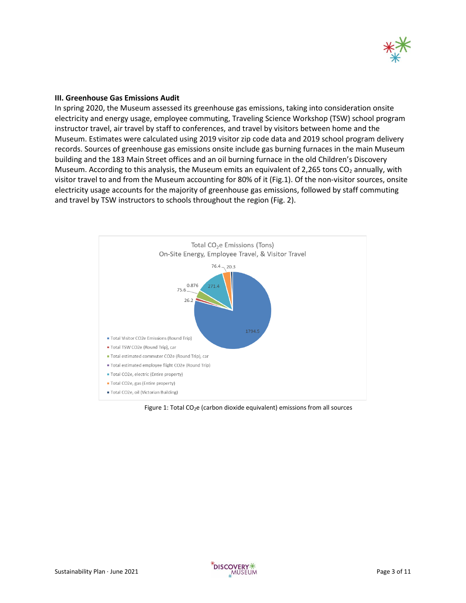

#### **III. Greenhouse Gas Emissions Audit**

In spring 2020, the Museum assessed its greenhouse gas emissions, taking into consideration onsite electricity and energy usage, employee commuting, Traveling Science Workshop (TSW) school program instructor travel, air travel by staff to conferences, and travel by visitors between home and the Museum. Estimates were calculated using 2019 visitor zip code data and 2019 school program delivery records. Sources of greenhouse gas emissions onsite include gas burning furnaces in the main Museum building and the 183 Main Street offices and an oil burning furnace in the old Children's Discovery Museum. According to this analysis, the Museum emits an equivalent of 2,265 tons  $CO<sub>2</sub>$  annually, with visitor travel to and from the Museum accounting for 80% of it (Fig.1). Of the non-visitor sources, onsite electricity usage accounts for the majority of greenhouse gas emissions, followed by staff commuting and travel by TSW instructors to schools throughout the region (Fig. 2).



Figure 1: Total  $CO<sub>2</sub>e$  (carbon dioxide equivalent) emissions from all sources

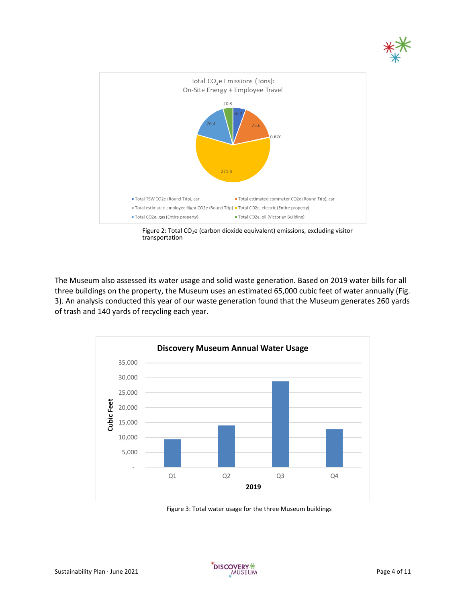



Figure 2: Total CO<sub>2</sub>e (carbon dioxide equivalent) emissions, excluding visitor transportation

The Museum also assessed its water usage and solid waste generation. Based on 2019 water bills for all three buildings on the property, the Museum uses an estimated 65,000 cubic feet of water annually (Fig. 3). An analysis conducted this year of our waste generation found that the Museum generates 260 yards of trash and 140 yards of recycling each year.



Figure 3: Total water usage for the three Museum buildings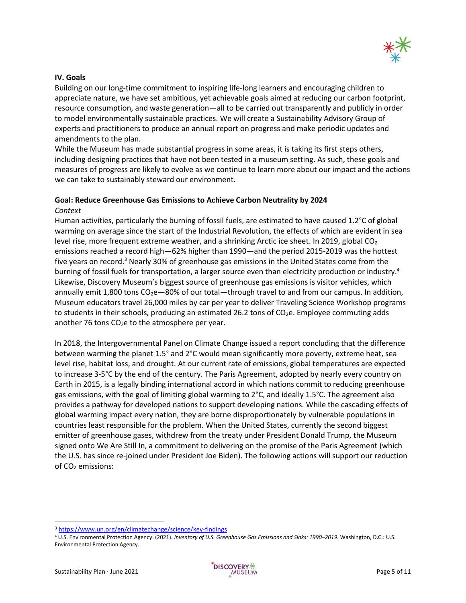

## **IV. Goals**

Building on our long-time commitment to inspiring life-long learners and encouraging children to appreciate nature, we have set ambitious, yet achievable goals aimed at reducing our carbon footprint, resource consumption, and waste generation—all to be carried out transparently and publicly in order to model environmentally sustainable practices. We will create a Sustainability Advisory Group of experts and practitioners to produce an annual report on progress and make periodic updates and amendments to the plan.

While the Museum has made substantial progress in some areas, it is taking its first steps others, including designing practices that have not been tested in a museum setting. As such, these goals and measures of progress are likely to evolve as we continue to learn more about our impact and the actions we can take to sustainably steward our environment.

# **Goal: Reduce Greenhouse Gas Emissions to Achieve Carbon Neutrality by 2024** *Context*

Human activities, particularly the burning of fossil fuels, are estimated to have caused 1.2°C of global warming on average since the start of the Industrial Revolution, the effects of which are evident in sea level rise, more frequent extreme weather, and a shrinking Arctic ice sheet. In 2019, global  $CO<sub>2</sub>$ emissions reached a record high—62% higher than 1990—and the period 2015-2019 was the hottest five years on record.<sup>3</sup> Nearly 30% of greenhouse gas emissions in the United States come from the burning of fossil fuels for transportation, a larger source even than electricity production or industry.<sup>4</sup> Likewise, Discovery Museum's biggest source of greenhouse gas emissions is visitor vehicles, which annually emit 1,800 tons  $CO_2e-80%$  of our total—through travel to and from our campus. In addition, Museum educators travel 26,000 miles by car per year to deliver Traveling Science Workshop programs to students in their schools, producing an estimated 26.2 tons of  $CO<sub>2</sub>e$ . Employee commuting adds another 76 tons  $CO<sub>2</sub>e$  to the atmosphere per year.

In 2018, the Intergovernmental Panel on Climate Change issued a report concluding that the difference between warming the planet 1.5° and 2°C would mean significantly more poverty, extreme heat, sea level rise, habitat loss, and drought. At our current rate of emissions, global temperatures are expected to increase 3-5°C by the end of the century. The Paris Agreement, adopted by nearly every country on Earth in 2015, is a legally binding international accord in which nations commit to reducing greenhouse gas emissions, with the goal of limiting global warming to  $2^{\circ}$ C, and ideally 1.5 $^{\circ}$ C. The agreement also provides a pathway for developed nations to support developing nations. While the cascading effects of global warming impact every nation, they are borne disproportionately by vulnerable populations in countries least responsible for the problem. When the United States, currently the second biggest emitter of greenhouse gases, withdrew from the treaty under President Donald Trump, the Museum signed onto We Are Still In, a commitment to delivering on the promise of the Paris Agreement (which the U.S. has since re-joined under President Joe Biden). The following actions will support our reduction of CO<sub>2</sub> emissions:

<sup>3</sup> <https://www.un.org/en/climatechange/science/key-findings>

<sup>4</sup> U.S. Environmental Protection Agency. (2021). *Inventory of U.S. Greenhouse Gas Emissions and Sinks: 1990–2019*. Washington, D.C.: U.S. Environmental Protection Agency.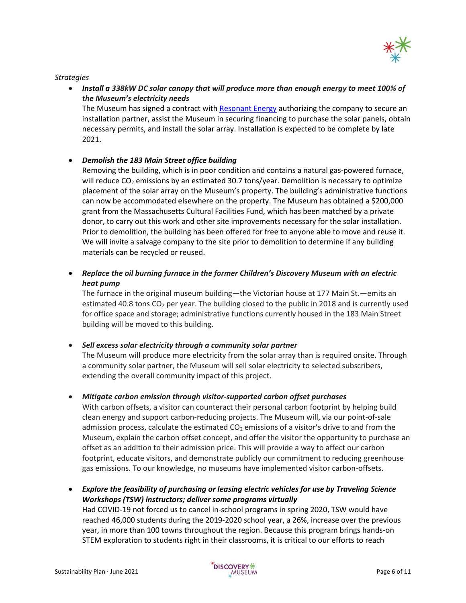

## *Strategies*

• *Install a 338kW DC solar canopy that will produce more than enough energy to meet 100% of the Museum's electricity needs* The Museum has signed a contract wit[h Resonant Energy](http://www.resonant.energy/) authorizing the company to secure an

installation partner, assist the Museum in securing financing to purchase the solar panels, obtain necessary permits, and install the solar array. Installation is expected to be complete by late 2021.

## • *Demolish the 183 Main Street office building*

Removing the building, which is in poor condition and contains a natural gas-powered furnace, will reduce  $CO<sub>2</sub>$  emissions by an estimated 30.7 tons/year. Demolition is necessary to optimize placement of the solar array on the Museum's property. The building's administrative functions can now be accommodated elsewhere on the property. The Museum has obtained a \$200,000 grant from the Massachusetts Cultural Facilities Fund, which has been matched by a private donor, to carry out this work and other site improvements necessary for the solar installation. Prior to demolition, the building has been offered for free to anyone able to move and reuse it. We will invite a salvage company to the site prior to demolition to determine if any building materials can be recycled or reused.

• *Replace the oil burning furnace in the former Children's Discovery Museum with an electric heat pump*

The furnace in the original museum building—the Victorian house at 177 Main St.—emits an estimated 40.8 tons  $CO<sub>2</sub>$  per year. The building closed to the public in 2018 and is currently used for office space and storage; administrative functions currently housed in the 183 Main Street building will be moved to this building.

• *Sell excess solar electricity through a community solar partner*

The Museum will produce more electricity from the solar array than is required onsite. Through a community solar partner, the Museum will sell solar electricity to selected subscribers, extending the overall community impact of this project.

• *Mitigate carbon emission through visitor-supported carbon offset purchases*

With carbon offsets, a visitor can counteract their personal carbon footprint by helping build clean energy and support carbon-reducing projects. The Museum will, via our point-of-sale admission process, calculate the estimated  $CO<sub>2</sub>$  emissions of a visitor's drive to and from the Museum, explain the carbon offset concept, and offer the visitor the opportunity to purchase an offset as an addition to their admission price. This will provide a way to affect our carbon footprint, educate visitors, and demonstrate publicly our commitment to reducing greenhouse gas emissions. To our knowledge, no museums have implemented visitor carbon-offsets.

• *Explore the feasibility of purchasing or leasing electric vehicles for use by Traveling Science Workshops (TSW) instructors; deliver some programs virtually* Had COVID-19 not forced us to cancel in-school programs in spring 2020, TSW would have reached 46,000 students during the 2019-2020 school year, a 26%, increase over the previous year, in more than 100 towns throughout the region. Because this program brings hands-on STEM exploration to students right in their classrooms, it is critical to our efforts to reach

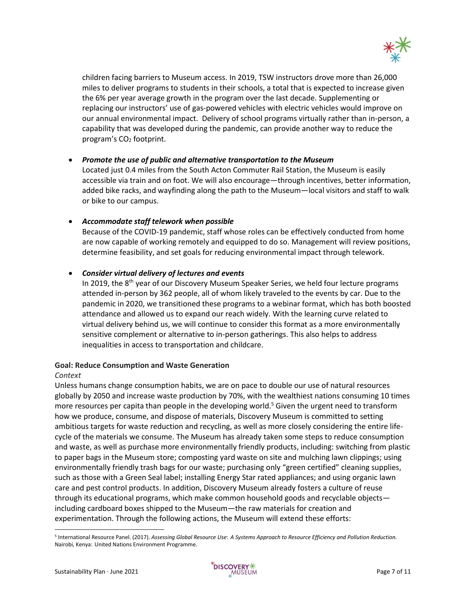

children facing barriers to Museum access. In 2019, TSW instructors drove more than 26,000 miles to deliver programs to students in their schools, a total that is expected to increase given the 6% per year average growth in the program over the last decade. Supplementing or replacing our instructors' use of gas-powered vehicles with electric vehicles would improve on our annual environmental impact. Delivery of school programs virtually rather than in-person, a capability that was developed during the pandemic, can provide another way to reduce the program's  $CO<sub>2</sub>$  footprint.

## • *Promote the use of public and alternative transportation to the Museum*

Located just 0.4 miles from the South Acton Commuter Rail Station, the Museum is easily accessible via train and on foot. We will also encourage—through incentives, better information, added bike racks, and wayfinding along the path to the Museum—local visitors and staff to walk or bike to our campus.

# • *Accommodate staff telework when possible*

Because of the COVID-19 pandemic, staff whose roles can be effectively conducted from home are now capable of working remotely and equipped to do so. Management will review positions, determine feasibility, and set goals for reducing environmental impact through telework.

## • *Consider virtual delivery of lectures and events*

In 2019, the 8<sup>th</sup> year of our Discovery Museum Speaker Series, we held four lecture programs attended in-person by 362 people, all of whom likely traveled to the events by car. Due to the pandemic in 2020, we transitioned these programs to a webinar format, which has both boosted attendance and allowed us to expand our reach widely. With the learning curve related to virtual delivery behind us, we will continue to consider this format as a more environmentally sensitive complement or alternative to in-person gatherings. This also helps to address inequalities in access to transportation and childcare.

## **Goal: Reduce Consumption and Waste Generation**

## *Context*

Unless humans change consumption habits, we are on pace to double our use of natural resources globally by 2050 and increase waste production by 70%, with the wealthiest nations consuming 10 times more resources per capita than people in the developing world.<sup>5</sup> Given the urgent need to transform how we produce, consume, and dispose of materials, Discovery Museum is committed to setting ambitious targets for waste reduction and recycling, as well as more closely considering the entire lifecycle of the materials we consume. The Museum has already taken some steps to reduce consumption and waste, as well as purchase more environmentally friendly products, including: switching from plastic to paper bags in the Museum store; composting yard waste on site and mulching lawn clippings; using environmentally friendly trash bags for our waste; purchasing only "green certified" cleaning supplies, such as those with a Green Seal label; installing Energy Star rated appliances; and using organic lawn care and pest control products. In addition, Discovery Museum already fosters a culture of reuse through its educational programs, which make common household goods and recyclable objects including cardboard boxes shipped to the Museum—the raw materials for creation and experimentation. Through the following actions, the Museum will extend these efforts:



<sup>5</sup> International Resource Panel. (2017). *Assessing Global Resource Use*: *A Systems Approach to Resource Efficiency and Pollution Reduction.* Nairobi, Kenya: United Nations Environment Programme.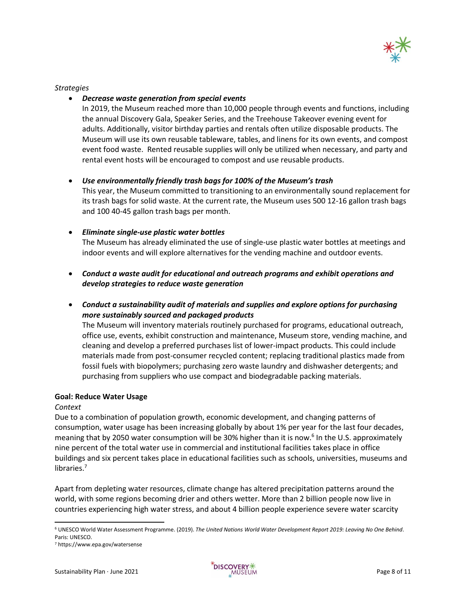

*Strategies*

## • *Decrease waste generation from special events*

In 2019, the Museum reached more than 10,000 people through events and functions, including the annual Discovery Gala, Speaker Series, and the Treehouse Takeover evening event for adults. Additionally, visitor birthday parties and rentals often utilize disposable products. The Museum will use its own reusable tableware, tables, and linens for its own events, and compost event food waste. Rented reusable supplies will only be utilized when necessary, and party and rental event hosts will be encouraged to compost and use reusable products.

## • *Use environmentally friendly trash bags for 100% of the Museum's trash*

This year, the Museum committed to transitioning to an environmentally sound replacement for its trash bags for solid waste. At the current rate, the Museum uses 500 12-16 gallon trash bags and 100 40-45 gallon trash bags per month.

## • *Eliminate single-use plastic water bottles*

The Museum has already eliminated the use of single-use plastic water bottles at meetings and indoor events and will explore alternatives for the vending machine and outdoor events.

- *Conduct a waste audit for educational and outreach programs and exhibit operations and develop strategies to reduce waste generation*
- *Conduct a sustainability audit of materials and supplies and explore options for purchasing more sustainably sourced and packaged products*

The Museum will inventory materials routinely purchased for programs, educational outreach, office use, events, exhibit construction and maintenance, Museum store, vending machine, and cleaning and develop a preferred purchases list of lower-impact products. This could include materials made from post-consumer recycled content; replacing traditional plastics made from fossil fuels with biopolymers; purchasing zero waste laundry and dishwasher detergents; and purchasing from suppliers who use compact and biodegradable packing materials.

## **Goal: Reduce Water Usage**

## *Context*

Due to a combination of population growth, economic development, and changing patterns of consumption, water usage has been increasing globally by about 1% per year for the last four decades, meaning that by 2050 water consumption will be 30% higher than it is now.<sup>6</sup> In the U.S. approximately nine percent of the total water use in commercial and institutional facilities takes place in office buildings and six percent takes place in educational facilities such as schools, universities, museums and libraries.<sup>7</sup>

Apart from depleting water resources, climate change has altered precipitation patterns around the world, with some regions becoming drier and others wetter. More than 2 billion people now live in countries experiencing high water stress, and about 4 billion people experience severe water scarcity



<sup>6</sup> UNESCO World Water Assessment Programme. (2019). *The United Nations World Water Development Report 2019: Leaving No One Behind*. Paris: UNESCO.

<sup>7</sup> https://www.epa.gov/watersense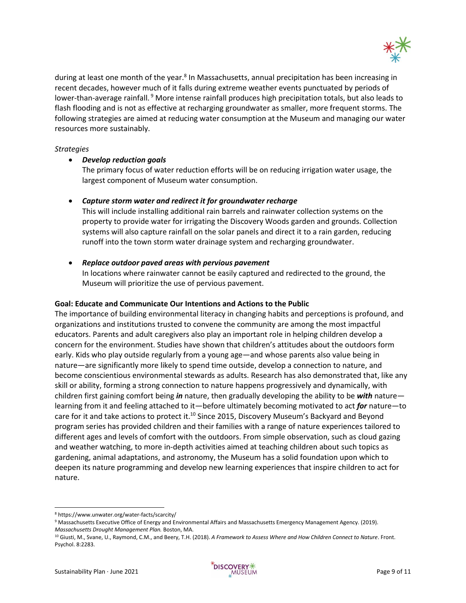

during at least one month of the year.<sup>8</sup> In Massachusetts, annual precipitation has been increasing in recent decades, however much of it falls during extreme weather events punctuated by periods of lower-than-average rainfall. <sup>9</sup> More intense rainfall produces high precipitation totals, but also leads to flash flooding and is not as effective at recharging groundwater as smaller, more frequent storms. The following strategies are aimed at reducing water consumption at the Museum and managing our water resources more sustainably.

## *Strategies*

#### • *Develop reduction goals*

The primary focus of water reduction efforts will be on reducing irrigation water usage, the largest component of Museum water consumption.

## • *Capture storm water and redirect it for groundwater recharge*

This will include installing additional rain barrels and rainwater collection systems on the property to provide water for irrigating the Discovery Woods garden and grounds. Collection systems will also capture rainfall on the solar panels and direct it to a rain garden, reducing runoff into the town storm water drainage system and recharging groundwater.

#### • *Replace outdoor paved areas with pervious pavement*

In locations where rainwater cannot be easily captured and redirected to the ground, the Museum will prioritize the use of pervious pavement.

#### **Goal: Educate and Communicate Our Intentions and Actions to the Public**

The importance of building environmental literacy in changing habits and perceptions is profound, and organizations and institutions trusted to convene the community are among the most impactful educators. Parents and adult caregivers also play an important role in helping children develop a concern for the environment. Studies have shown that children's attitudes about the outdoors form early. Kids who play outside regularly from a young age—and whose parents also value being in nature—are significantly more likely to spend time outside, develop a connection to nature, and become conscientious environmental stewards as adults. Research has also demonstrated that, like any skill or ability, forming a strong connection to nature happens progressively and dynamically, with children first gaining comfort being *in* nature, then gradually developing the ability to be *with* nature learning from it and feeling attached to it—before ultimately becoming motivated to act *for* nature—to care for it and take actions to protect it.<sup>10</sup> Since 2015, Discovery Museum's Backyard and Beyond program series has provided children and their families with a range of nature experiences tailored to different ages and levels of comfort with the outdoors. From simple observation, such as cloud gazing and weather watching, to more in-depth activities aimed at teaching children about such topics as gardening, animal adaptations, and astronomy, the Museum has a solid foundation upon which to deepen its nature programming and develop new learning experiences that inspire children to act for nature.

<sup>8</sup> https://www.unwater.org/water-facts/scarcity/

<sup>9</sup> Massachusetts Executive Office of Energy and Environmental Affairs and Massachusetts Emergency Management Agency. (2019). *Massachusetts Drought Management Plan.* Boston, MA.

<sup>10</sup> Giusti, M., Svane, U., Raymond, C.M., and Beery, T.H. (2018). *A Framework to Assess Where and How Children Connect to Nature*. Front. Psychol. 8:2283.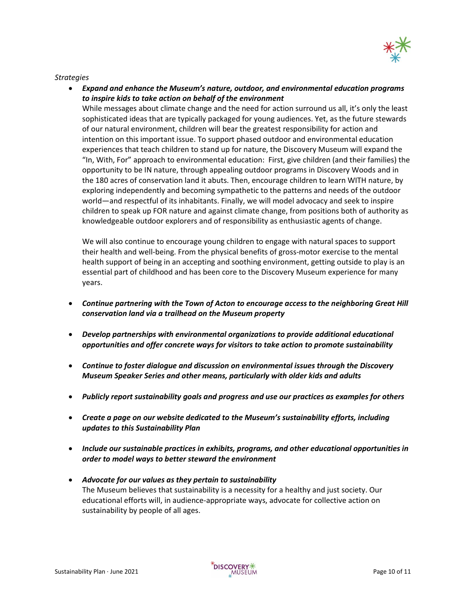

## *Strategies*

• *Expand and enhance the Museum's nature, outdoor, and environmental education programs to inspire kids to take action on behalf of the environment*

While messages about climate change and the need for action surround us all, it's only the least sophisticated ideas that are typically packaged for young audiences. Yet, as the future stewards of our natural environment, children will bear the greatest responsibility for action and intention on this important issue. To support phased outdoor and environmental education experiences that teach children to stand up for nature, the Discovery Museum will expand the "In, With, For" approach to environmental education: First, give children (and their families) the opportunity to be IN nature, through appealing outdoor programs in Discovery Woods and in the 180 acres of conservation land it abuts. Then, encourage children to learn WITH nature, by exploring independently and becoming sympathetic to the patterns and needs of the outdoor world—and respectful of its inhabitants. Finally, we will model advocacy and seek to inspire children to speak up FOR nature and against climate change, from positions both of authority as knowledgeable outdoor explorers and of responsibility as enthusiastic agents of change.

We will also continue to encourage young children to engage with natural spaces to support their health and well-being. From the physical benefits of gross-motor exercise to the mental health support of being in an accepting and soothing environment, getting outside to play is an essential part of childhood and has been core to the Discovery Museum experience for many years.

- *Continue partnering with the Town of Acton to encourage access to the neighboring Great Hill conservation land via a trailhead on the Museum property*
- *Develop partnerships with environmental organizations to provide additional educational opportunities and offer concrete ways for visitors to take action to promote sustainability*
- *Continue to foster dialogue and discussion on environmental issues through the Discovery Museum Speaker Series and other means, particularly with older kids and adults*
- *Publicly report sustainability goals and progress and use our practices as examples for others*
- *Create a page on our website dedicated to the Museum's sustainability efforts, including updates to this Sustainability Plan*
- *Include our sustainable practices in exhibits, programs, and other educational opportunities in order to model ways to better steward the environment*
- *Advocate for our values as they pertain to sustainability* The Museum believes that sustainability is a necessity for a healthy and just society. Our educational efforts will, in audience-appropriate ways, advocate for collective action on sustainability by people of all ages.